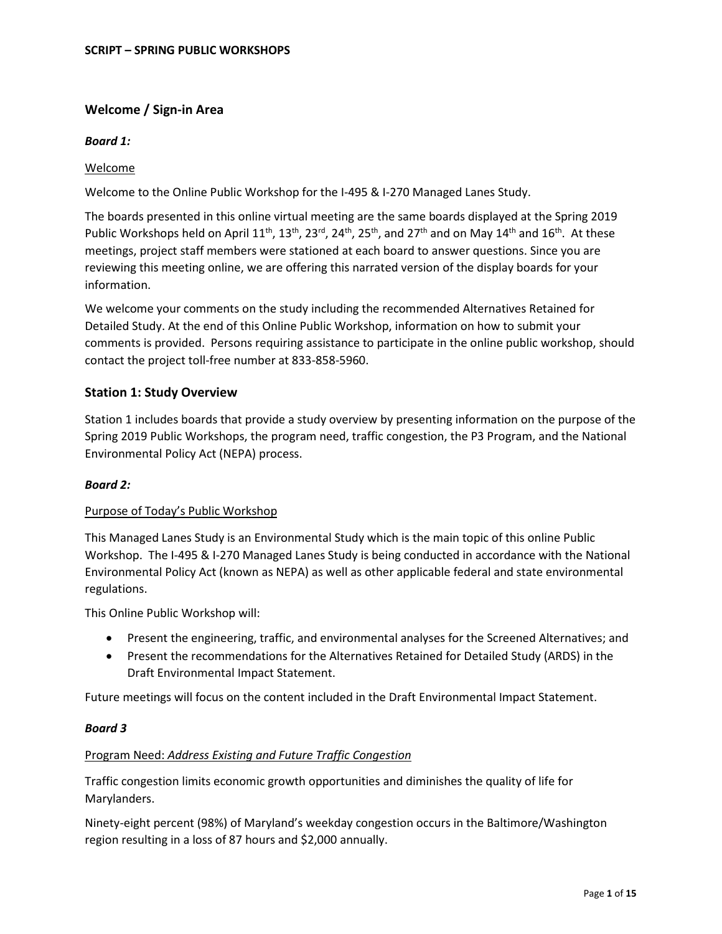# **Welcome / Sign-in Area**

## *Board 1:*

## Welcome

Welcome to the Online Public Workshop for the I-495 & I-270 Managed Lanes Study.

The boards presented in this online virtual meeting are the same boards displayed at the Spring 2019 Public Workshops held on April 11<sup>th</sup>, 13<sup>th</sup>, 23<sup>rd</sup>, 24<sup>th</sup>, 25<sup>th</sup>, and 27<sup>th</sup> and on May 14<sup>th</sup> and 16<sup>th</sup>. At these meetings, project staff members were stationed at each board to answer questions. Since you are reviewing this meeting online, we are offering this narrated version of the display boards for your information.

We welcome your comments on the study including the recommended Alternatives Retained for Detailed Study. At the end of this Online Public Workshop, information on how to submit your comments is provided. Persons requiring assistance to participate in the online public workshop, should contact the project toll-free number at 833-858-5960.

# **Station 1: Study Overview**

Station 1 includes boards that provide a study overview by presenting information on the purpose of the Spring 2019 Public Workshops, the program need, traffic congestion, the P3 Program, and the National Environmental Policy Act (NEPA) process.

## *Board 2:*

## Purpose of Today's Public Workshop

This Managed Lanes Study is an Environmental Study which is the main topic of this online Public Workshop. The I-495 & I-270 Managed Lanes Study is being conducted in accordance with the National Environmental Policy Act (known as NEPA) as well as other applicable federal and state environmental regulations.

This Online Public Workshop will:

- Present the engineering, traffic, and environmental analyses for the Screened Alternatives; and
- Present the recommendations for the Alternatives Retained for Detailed Study (ARDS) in the Draft Environmental Impact Statement.

Future meetings will focus on the content included in the Draft Environmental Impact Statement.

## *Board 3*

## Program Need: *Address Existing and Future Traffic Congestion*

Traffic congestion limits economic growth opportunities and diminishes the quality of life for Marylanders.

Ninety-eight percent (98%) of Maryland's weekday congestion occurs in the Baltimore/Washington region resulting in a loss of 87 hours and \$2,000 annually.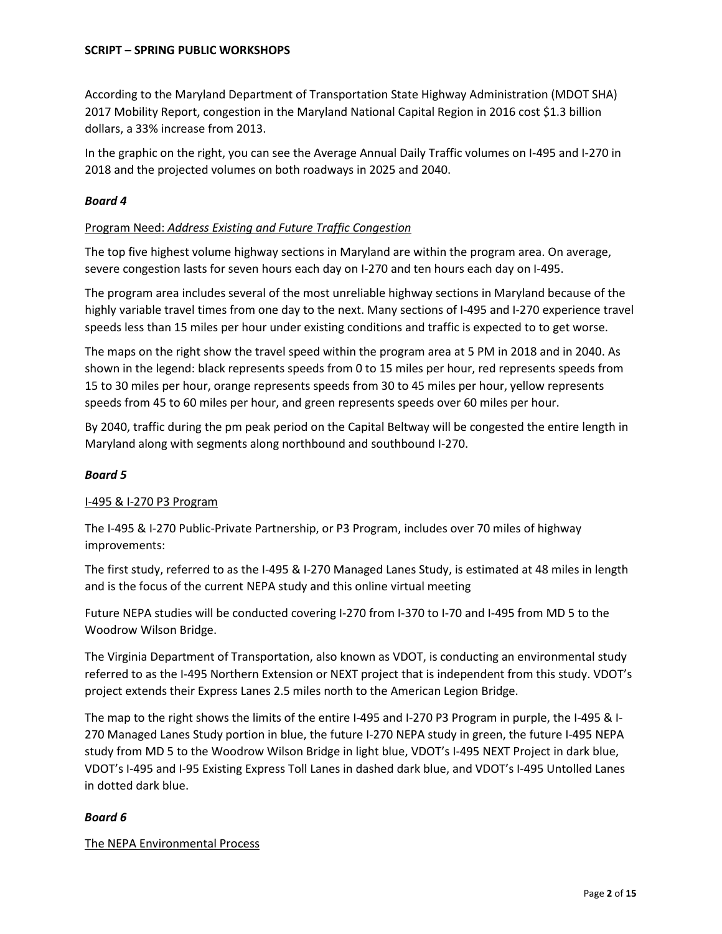According to the Maryland Department of Transportation State Highway Administration (MDOT SHA) 2017 Mobility Report, congestion in the Maryland National Capital Region in 2016 cost \$1.3 billion dollars, a 33% increase from 2013.

In the graphic on the right, you can see the Average Annual Daily Traffic volumes on I-495 and I-270 in 2018 and the projected volumes on both roadways in 2025 and 2040.

## *Board 4*

## Program Need: *Address Existing and Future Traffic Congestion*

The top five highest volume highway sections in Maryland are within the program area. On average, severe congestion lasts for seven hours each day on I-270 and ten hours each day on I-495.

The program area includes several of the most unreliable highway sections in Maryland because of the highly variable travel times from one day to the next. Many sections of I-495 and I-270 experience travel speeds less than 15 miles per hour under existing conditions and traffic is expected to to get worse.

The maps on the right show the travel speed within the program area at 5 PM in 2018 and in 2040. As shown in the legend: black represents speeds from 0 to 15 miles per hour, red represents speeds from 15 to 30 miles per hour, orange represents speeds from 30 to 45 miles per hour, yellow represents speeds from 45 to 60 miles per hour, and green represents speeds over 60 miles per hour.

By 2040, traffic during the pm peak period on the Capital Beltway will be congested the entire length in Maryland along with segments along northbound and southbound I-270.

## *Board 5*

## I-495 & I-270 P3 Program

The I-495 & I-270 Public-Private Partnership, or P3 Program, includes over 70 miles of highway improvements:

The first study, referred to as the I-495 & I-270 Managed Lanes Study, is estimated at 48 miles in length and is the focus of the current NEPA study and this online virtual meeting

Future NEPA studies will be conducted covering I-270 from I-370 to I-70 and I-495 from MD 5 to the Woodrow Wilson Bridge.

The Virginia Department of Transportation, also known as VDOT, is conducting an environmental study referred to as the I-495 Northern Extension or NEXT project that is independent from this study. VDOT's project extends their Express Lanes 2.5 miles north to the American Legion Bridge.

The map to the right shows the limits of the entire I-495 and I-270 P3 Program in purple, the I-495 & I-270 Managed Lanes Study portion in blue, the future I-270 NEPA study in green, the future I-495 NEPA study from MD 5 to the Woodrow Wilson Bridge in light blue, VDOT's I-495 NEXT Project in dark blue, VDOT's I-495 and I-95 Existing Express Toll Lanes in dashed dark blue, and VDOT's I-495 Untolled Lanes in dotted dark blue.

# *Board 6*

## The NEPA Environmental Process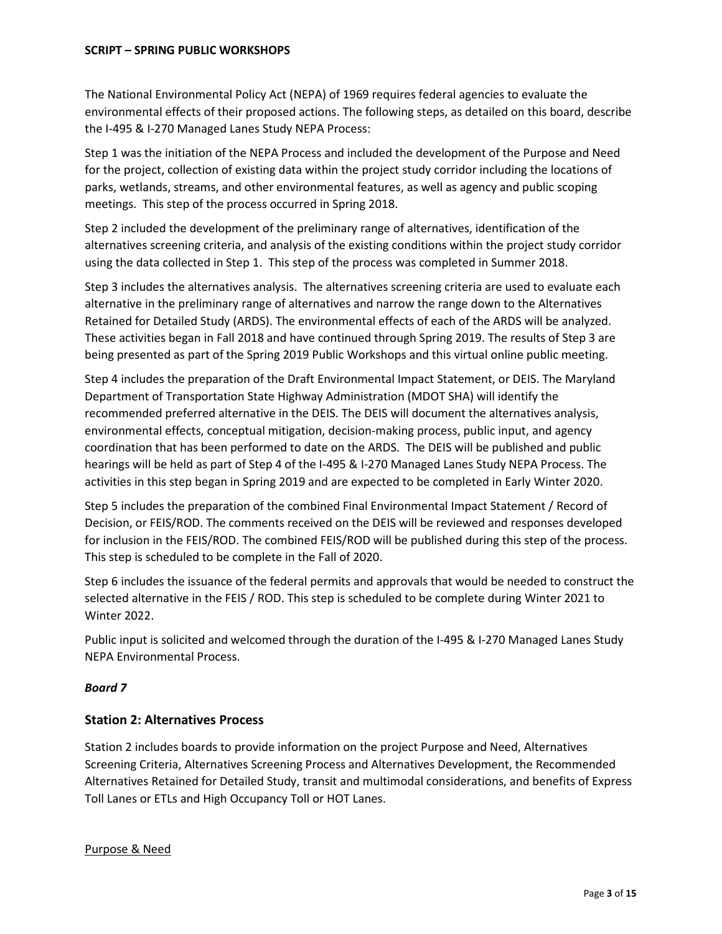The National Environmental Policy Act (NEPA) of 1969 requires federal agencies to evaluate the environmental effects of their proposed actions. The following steps, as detailed on this board, describe the I-495 & I-270 Managed Lanes Study NEPA Process:

Step 1 was the initiation of the NEPA Process and included the development of the Purpose and Need for the project, collection of existing data within the project study corridor including the locations of parks, wetlands, streams, and other environmental features, as well as agency and public scoping meetings. This step of the process occurred in Spring 2018.

Step 2 included the development of the preliminary range of alternatives, identification of the alternatives screening criteria, and analysis of the existing conditions within the project study corridor using the data collected in Step 1. This step of the process was completed in Summer 2018.

Step 3 includes the alternatives analysis. The alternatives screening criteria are used to evaluate each alternative in the preliminary range of alternatives and narrow the range down to the Alternatives Retained for Detailed Study (ARDS). The environmental effects of each of the ARDS will be analyzed. These activities began in Fall 2018 and have continued through Spring 2019. The results of Step 3 are being presented as part of the Spring 2019 Public Workshops and this virtual online public meeting.

Step 4 includes the preparation of the Draft Environmental Impact Statement, or DEIS. The Maryland Department of Transportation State Highway Administration (MDOT SHA) will identify the recommended preferred alternative in the DEIS. The DEIS will document the alternatives analysis, environmental effects, conceptual mitigation, decision-making process, public input, and agency coordination that has been performed to date on the ARDS. The DEIS will be published and public hearings will be held as part of Step 4 of the I-495 & I-270 Managed Lanes Study NEPA Process. The activities in this step began in Spring 2019 and are expected to be completed in Early Winter 2020.

Step 5 includes the preparation of the combined Final Environmental Impact Statement / Record of Decision, or FEIS/ROD. The comments received on the DEIS will be reviewed and responses developed for inclusion in the FEIS/ROD. The combined FEIS/ROD will be published during this step of the process. This step is scheduled to be complete in the Fall of 2020.

Step 6 includes the issuance of the federal permits and approvals that would be needed to construct the selected alternative in the FEIS / ROD. This step is scheduled to be complete during Winter 2021 to Winter 2022.

Public input is solicited and welcomed through the duration of the I-495 & I-270 Managed Lanes Study NEPA Environmental Process.

# *Board 7*

# **Station 2: Alternatives Process**

Station 2 includes boards to provide information on the project Purpose and Need, Alternatives Screening Criteria, Alternatives Screening Process and Alternatives Development, the Recommended Alternatives Retained for Detailed Study, transit and multimodal considerations, and benefits of Express Toll Lanes or ETLs and High Occupancy Toll or HOT Lanes.

## Purpose & Need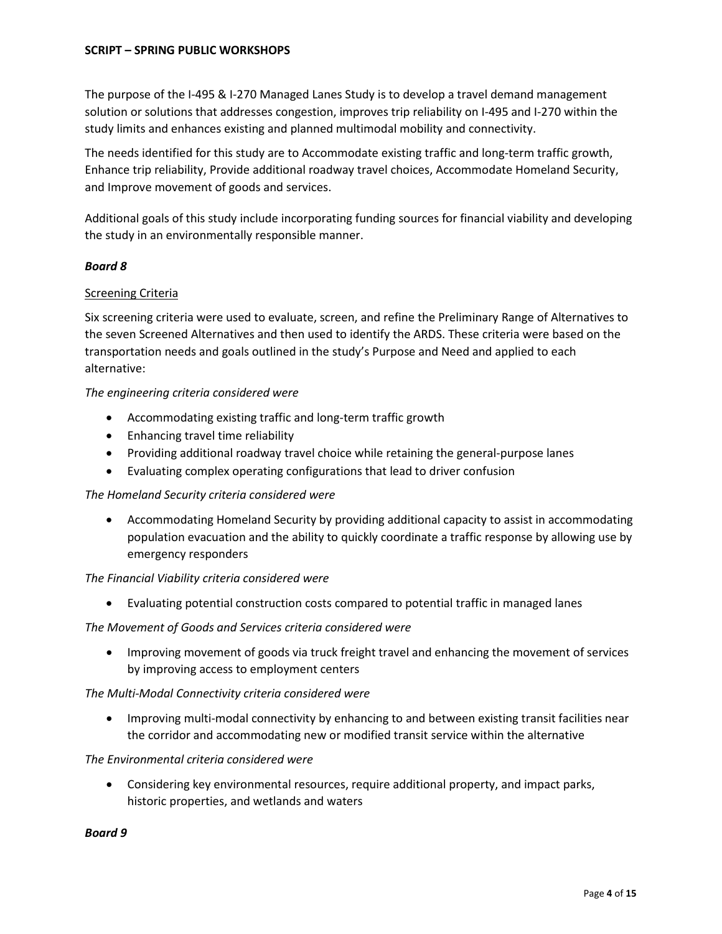The purpose of the I-495 & I-270 Managed Lanes Study is to develop a travel demand management solution or solutions that addresses congestion, improves trip reliability on I-495 and I-270 within the study limits and enhances existing and planned multimodal mobility and connectivity.

The needs identified for this study are to Accommodate existing traffic and long-term traffic growth, Enhance trip reliability, Provide additional roadway travel choices, Accommodate Homeland Security, and Improve movement of goods and services.

Additional goals of this study include incorporating funding sources for financial viability and developing the study in an environmentally responsible manner.

## *Board 8*

## Screening Criteria

Six screening criteria were used to evaluate, screen, and refine the Preliminary Range of Alternatives to the seven Screened Alternatives and then used to identify the ARDS. These criteria were based on the transportation needs and goals outlined in the study's Purpose and Need and applied to each alternative:

## *The engineering criteria considered were*

- Accommodating existing traffic and long-term traffic growth
- Enhancing travel time reliability
- Providing additional roadway travel choice while retaining the general-purpose lanes
- Evaluating complex operating configurations that lead to driver confusion

# *The Homeland Security criteria considered were*

• Accommodating Homeland Security by providing additional capacity to assist in accommodating population evacuation and the ability to quickly coordinate a traffic response by allowing use by emergency responders

## *The Financial Viability criteria considered were*

• Evaluating potential construction costs compared to potential traffic in managed lanes

## *The Movement of Goods and Services criteria considered were*

• Improving movement of goods via truck freight travel and enhancing the movement of services by improving access to employment centers

## *The Multi-Modal Connectivity criteria considered were*

• Improving multi-modal connectivity by enhancing to and between existing transit facilities near the corridor and accommodating new or modified transit service within the alternative

## *The Environmental criteria considered were*

• Considering key environmental resources, require additional property, and impact parks, historic properties, and wetlands and waters

## *Board 9*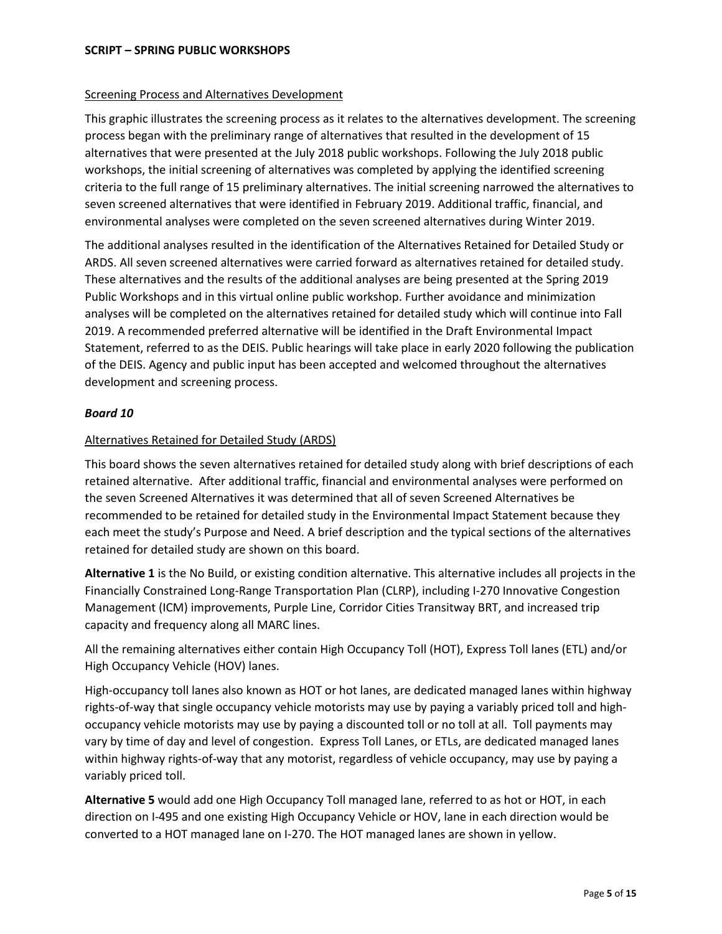## Screening Process and Alternatives Development

This graphic illustrates the screening process as it relates to the alternatives development. The screening process began with the preliminary range of alternatives that resulted in the development of 15 alternatives that were presented at the July 2018 public workshops. Following the July 2018 public workshops, the initial screening of alternatives was completed by applying the identified screening criteria to the full range of 15 preliminary alternatives. The initial screening narrowed the alternatives to seven screened alternatives that were identified in February 2019. Additional traffic, financial, and environmental analyses were completed on the seven screened alternatives during Winter 2019.

The additional analyses resulted in the identification of the Alternatives Retained for Detailed Study or ARDS. All seven screened alternatives were carried forward as alternatives retained for detailed study. These alternatives and the results of the additional analyses are being presented at the Spring 2019 Public Workshops and in this virtual online public workshop. Further avoidance and minimization analyses will be completed on the alternatives retained for detailed study which will continue into Fall 2019. A recommended preferred alternative will be identified in the Draft Environmental Impact Statement, referred to as the DEIS. Public hearings will take place in early 2020 following the publication of the DEIS. Agency and public input has been accepted and welcomed throughout the alternatives development and screening process.

# *Board 10*

# Alternatives Retained for Detailed Study (ARDS)

This board shows the seven alternatives retained for detailed study along with brief descriptions of each retained alternative. After additional traffic, financial and environmental analyses were performed on the seven Screened Alternatives it was determined that all of seven Screened Alternatives be recommended to be retained for detailed study in the Environmental Impact Statement because they each meet the study's Purpose and Need. A brief description and the typical sections of the alternatives retained for detailed study are shown on this board.

**Alternative 1** is the No Build, or existing condition alternative. This alternative includes all projects in the Financially Constrained Long-Range Transportation Plan (CLRP), including I-270 Innovative Congestion Management (ICM) improvements, Purple Line, Corridor Cities Transitway BRT, and increased trip capacity and frequency along all MARC lines.

All the remaining alternatives either contain High Occupancy Toll (HOT), Express Toll lanes (ETL) and/or High Occupancy Vehicle (HOV) lanes.

High-occupancy toll lanes also known as HOT or hot lanes, are dedicated managed lanes within highway rights-of-way that single occupancy vehicle motorists may use by paying a variably priced toll and highoccupancy vehicle motorists may use by paying a discounted toll or no toll at all. Toll payments may vary by time of day and level of congestion. Express Toll Lanes, or ETLs, are dedicated managed lanes within highway rights-of-way that any motorist, regardless of vehicle occupancy, may use by paying a variably priced toll.

**Alternative 5** would add one High Occupancy Toll managed lane, referred to as hot or HOT, in each direction on I-495 and one existing High Occupancy Vehicle or HOV, lane in each direction would be converted to a HOT managed lane on I-270. The HOT managed lanes are shown in yellow.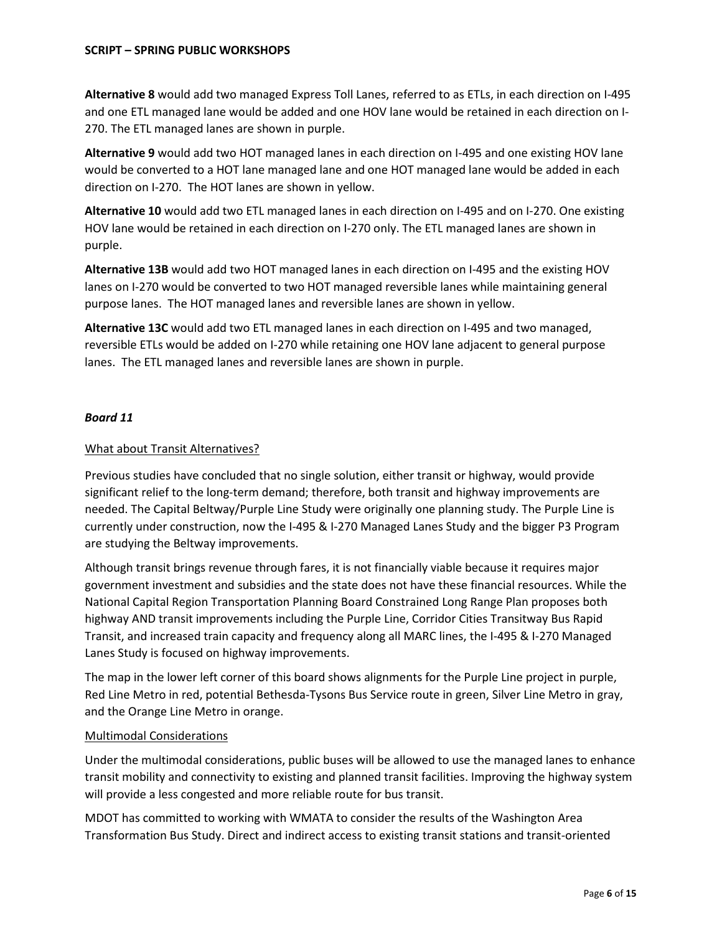**Alternative 8** would add two managed Express Toll Lanes, referred to as ETLs, in each direction on I-495 and one ETL managed lane would be added and one HOV lane would be retained in each direction on I-270. The ETL managed lanes are shown in purple.

**Alternative 9** would add two HOT managed lanes in each direction on I-495 and one existing HOV lane would be converted to a HOT lane managed lane and one HOT managed lane would be added in each direction on I-270. The HOT lanes are shown in yellow.

**Alternative 10** would add two ETL managed lanes in each direction on I-495 and on I-270. One existing HOV lane would be retained in each direction on I-270 only. The ETL managed lanes are shown in purple.

**Alternative 13B** would add two HOT managed lanes in each direction on I-495 and the existing HOV lanes on I-270 would be converted to two HOT managed reversible lanes while maintaining general purpose lanes. The HOT managed lanes and reversible lanes are shown in yellow.

**Alternative 13C** would add two ETL managed lanes in each direction on I-495 and two managed, reversible ETLs would be added on I-270 while retaining one HOV lane adjacent to general purpose lanes. The ETL managed lanes and reversible lanes are shown in purple.

# *Board 11*

# What about Transit Alternatives?

Previous studies have concluded that no single solution, either transit or highway, would provide significant relief to the long-term demand; therefore, both transit and highway improvements are needed. The Capital Beltway/Purple Line Study were originally one planning study. The Purple Line is currently under construction, now the I-495 & I-270 Managed Lanes Study and the bigger P3 Program are studying the Beltway improvements.

Although transit brings revenue through fares, it is not financially viable because it requires major government investment and subsidies and the state does not have these financial resources. While the National Capital Region Transportation Planning Board Constrained Long Range Plan proposes both highway AND transit improvements including the Purple Line, Corridor Cities Transitway Bus Rapid Transit, and increased train capacity and frequency along all MARC lines, the I-495 & I-270 Managed Lanes Study is focused on highway improvements.

The map in the lower left corner of this board shows alignments for the Purple Line project in purple, Red Line Metro in red, potential Bethesda-Tysons Bus Service route in green, Silver Line Metro in gray, and the Orange Line Metro in orange.

# Multimodal Considerations

Under the multimodal considerations, public buses will be allowed to use the managed lanes to enhance transit mobility and connectivity to existing and planned transit facilities. Improving the highway system will provide a less congested and more reliable route for bus transit.

MDOT has committed to working with WMATA to consider the results of the Washington Area Transformation Bus Study. Direct and indirect access to existing transit stations and transit-oriented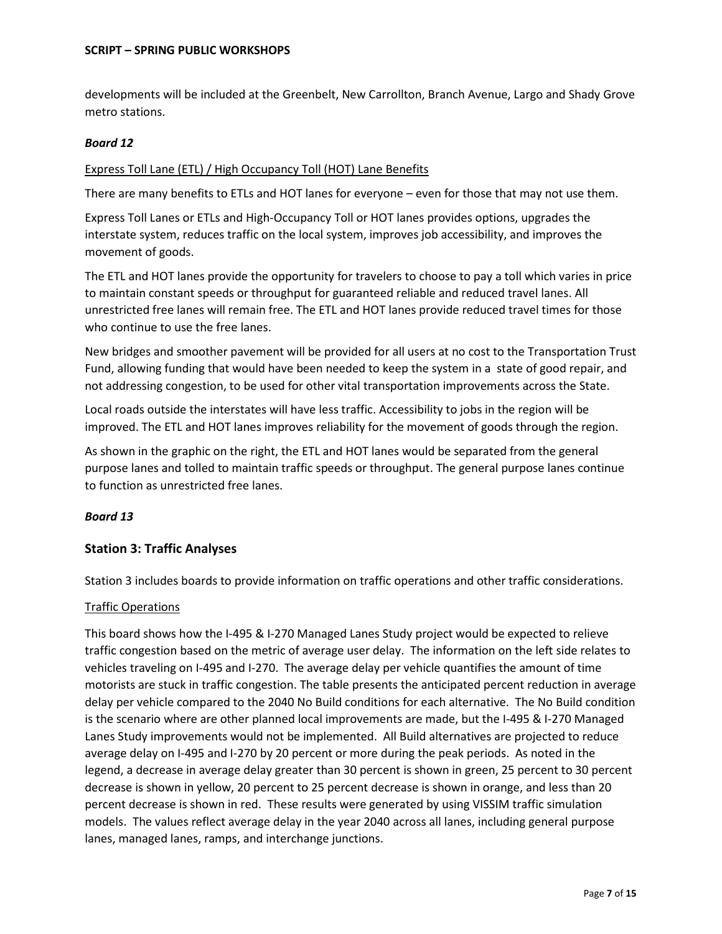developments will be included at the Greenbelt, New Carrollton, Branch Avenue, Largo and Shady Grove metro stations.

# *Board 12*

# Express Toll Lane (ETL) / High Occupancy Toll (HOT) Lane Benefits

There are many benefits to ETLs and HOT lanes for everyone – even for those that may not use them.

Express Toll Lanes or ETLs and High-Occupancy Toll or HOT lanes provides options, upgrades the interstate system, reduces traffic on the local system, improves job accessibility, and improves the movement of goods.

The ETL and HOT lanes provide the opportunity for travelers to choose to pay a toll which varies in price to maintain constant speeds or throughput for guaranteed reliable and reduced travel lanes. All unrestricted free lanes will remain free. The ETL and HOT lanes provide reduced travel times for those who continue to use the free lanes.

New bridges and smoother pavement will be provided for all users at no cost to the Transportation Trust Fund, allowing funding that would have been needed to keep the system in a state of good repair, and not addressing congestion, to be used for other vital transportation improvements across the State.

Local roads outside the interstates will have less traffic. Accessibility to jobs in the region will be improved. The ETL and HOT lanes improves reliability for the movement of goods through the region.

As shown in the graphic on the right, the ETL and HOT lanes would be separated from the general purpose lanes and tolled to maintain traffic speeds or throughput. The general purpose lanes continue to function as unrestricted free lanes.

# *Board 13*

# **Station 3: Traffic Analyses**

Station 3 includes boards to provide information on traffic operations and other traffic considerations.

# Traffic Operations

This board shows how the I-495 & I-270 Managed Lanes Study project would be expected to relieve traffic congestion based on the metric of average user delay. The information on the left side relates to vehicles traveling on I-495 and I-270. The average delay per vehicle quantifies the amount of time motorists are stuck in traffic congestion. The table presents the anticipated percent reduction in average delay per vehicle compared to the 2040 No Build conditions for each alternative. The No Build condition is the scenario where are other planned local improvements are made, but the I-495 & I-270 Managed Lanes Study improvements would not be implemented. All Build alternatives are projected to reduce average delay on I-495 and I-270 by 20 percent or more during the peak periods. As noted in the legend, a decrease in average delay greater than 30 percent is shown in green, 25 percent to 30 percent decrease is shown in yellow, 20 percent to 25 percent decrease is shown in orange, and less than 20 percent decrease is shown in red. These results were generated by using VISSIM traffic simulation models. The values reflect average delay in the year 2040 across all lanes, including general purpose lanes, managed lanes, ramps, and interchange junctions.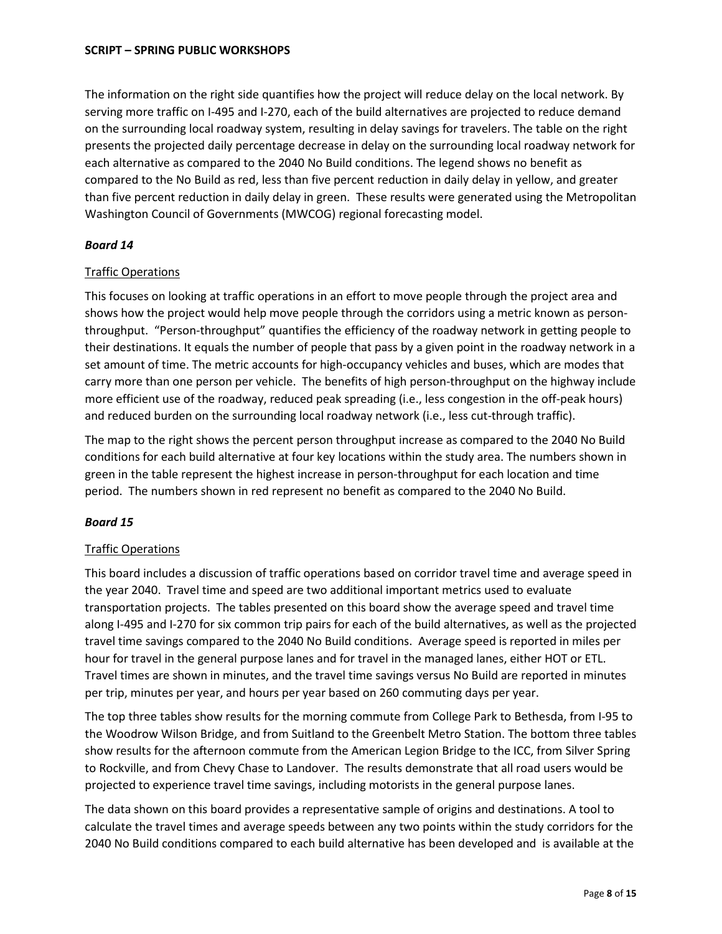The information on the right side quantifies how the project will reduce delay on the local network. By serving more traffic on I-495 and I-270, each of the build alternatives are projected to reduce demand on the surrounding local roadway system, resulting in delay savings for travelers. The table on the right presents the projected daily percentage decrease in delay on the surrounding local roadway network for each alternative as compared to the 2040 No Build conditions. The legend shows no benefit as compared to the No Build as red, less than five percent reduction in daily delay in yellow, and greater than five percent reduction in daily delay in green. These results were generated using the Metropolitan Washington Council of Governments (MWCOG) regional forecasting model.

# *Board 14*

# Traffic Operations

This focuses on looking at traffic operations in an effort to move people through the project area and shows how the project would help move people through the corridors using a metric known as personthroughput. "Person-throughput" quantifies the efficiency of the roadway network in getting people to their destinations. It equals the number of people that pass by a given point in the roadway network in a set amount of time. The metric accounts for high-occupancy vehicles and buses, which are modes that carry more than one person per vehicle. The benefits of high person-throughput on the highway include more efficient use of the roadway, reduced peak spreading (i.e., less congestion in the off-peak hours) and reduced burden on the surrounding local roadway network (i.e., less cut-through traffic).

The map to the right shows the percent person throughput increase as compared to the 2040 No Build conditions for each build alternative at four key locations within the study area. The numbers shown in green in the table represent the highest increase in person-throughput for each location and time period. The numbers shown in red represent no benefit as compared to the 2040 No Build.

# *Board 15*

# Traffic Operations

This board includes a discussion of traffic operations based on corridor travel time and average speed in the year 2040. Travel time and speed are two additional important metrics used to evaluate transportation projects. The tables presented on this board show the average speed and travel time along I-495 and I-270 for six common trip pairs for each of the build alternatives, as well as the projected travel time savings compared to the 2040 No Build conditions. Average speed is reported in miles per hour for travel in the general purpose lanes and for travel in the managed lanes, either HOT or ETL. Travel times are shown in minutes, and the travel time savings versus No Build are reported in minutes per trip, minutes per year, and hours per year based on 260 commuting days per year.

The top three tables show results for the morning commute from College Park to Bethesda, from I-95 to the Woodrow Wilson Bridge, and from Suitland to the Greenbelt Metro Station. The bottom three tables show results for the afternoon commute from the American Legion Bridge to the ICC, from Silver Spring to Rockville, and from Chevy Chase to Landover. The results demonstrate that all road users would be projected to experience travel time savings, including motorists in the general purpose lanes.

The data shown on this board provides a representative sample of origins and destinations. A tool to calculate the travel times and average speeds between any two points within the study corridors for the 2040 No Build conditions compared to each build alternative has been developed and is available at the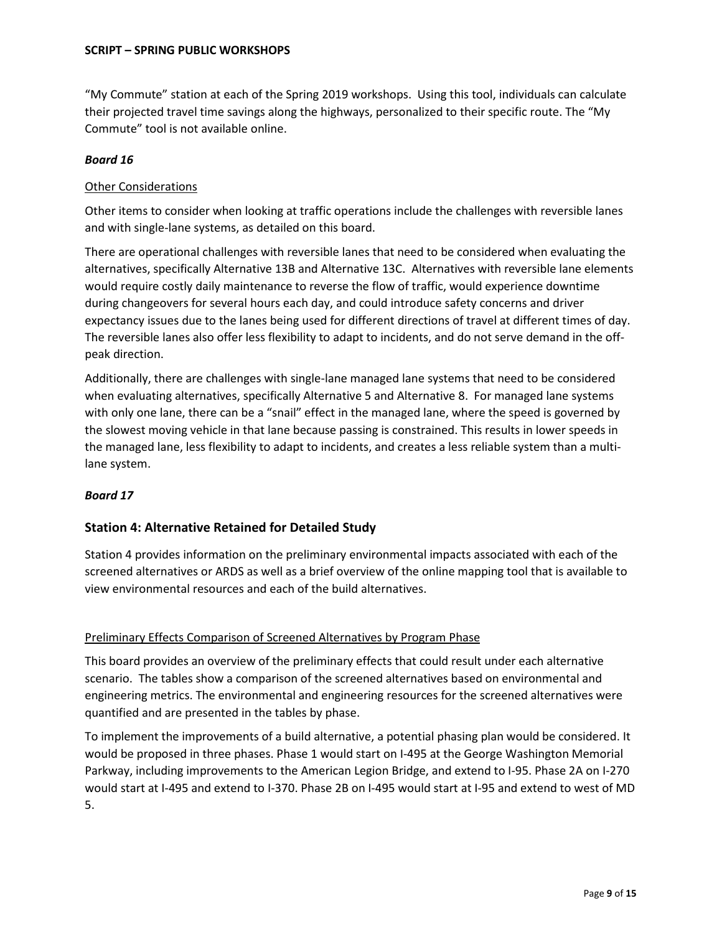"My Commute" station at each of the Spring 2019 workshops. Using this tool, individuals can calculate their projected travel time savings along the highways, personalized to their specific route. The "My Commute" tool is not available online.

# *Board 16*

# Other Considerations

Other items to consider when looking at traffic operations include the challenges with reversible lanes and with single-lane systems, as detailed on this board.

There are operational challenges with reversible lanes that need to be considered when evaluating the alternatives, specifically Alternative 13B and Alternative 13C. Alternatives with reversible lane elements would require costly daily maintenance to reverse the flow of traffic, would experience downtime during changeovers for several hours each day, and could introduce safety concerns and driver expectancy issues due to the lanes being used for different directions of travel at different times of day. The reversible lanes also offer less flexibility to adapt to incidents, and do not serve demand in the offpeak direction.

Additionally, there are challenges with single-lane managed lane systems that need to be considered when evaluating alternatives, specifically Alternative 5 and Alternative 8. For managed lane systems with only one lane, there can be a "snail" effect in the managed lane, where the speed is governed by the slowest moving vehicle in that lane because passing is constrained. This results in lower speeds in the managed lane, less flexibility to adapt to incidents, and creates a less reliable system than a multilane system.

# *Board 17*

# **Station 4: Alternative Retained for Detailed Study**

Station 4 provides information on the preliminary environmental impacts associated with each of the screened alternatives or ARDS as well as a brief overview of the online mapping tool that is available to view environmental resources and each of the build alternatives.

# Preliminary Effects Comparison of Screened Alternatives by Program Phase

This board provides an overview of the preliminary effects that could result under each alternative scenario. The tables show a comparison of the screened alternatives based on environmental and engineering metrics. The environmental and engineering resources for the screened alternatives were quantified and are presented in the tables by phase.

To implement the improvements of a build alternative, a potential phasing plan would be considered. It would be proposed in three phases. Phase 1 would start on I-495 at the George Washington Memorial Parkway, including improvements to the American Legion Bridge, and extend to I-95. Phase 2A on I-270 would start at I-495 and extend to I-370. Phase 2B on I-495 would start at I-95 and extend to west of MD 5.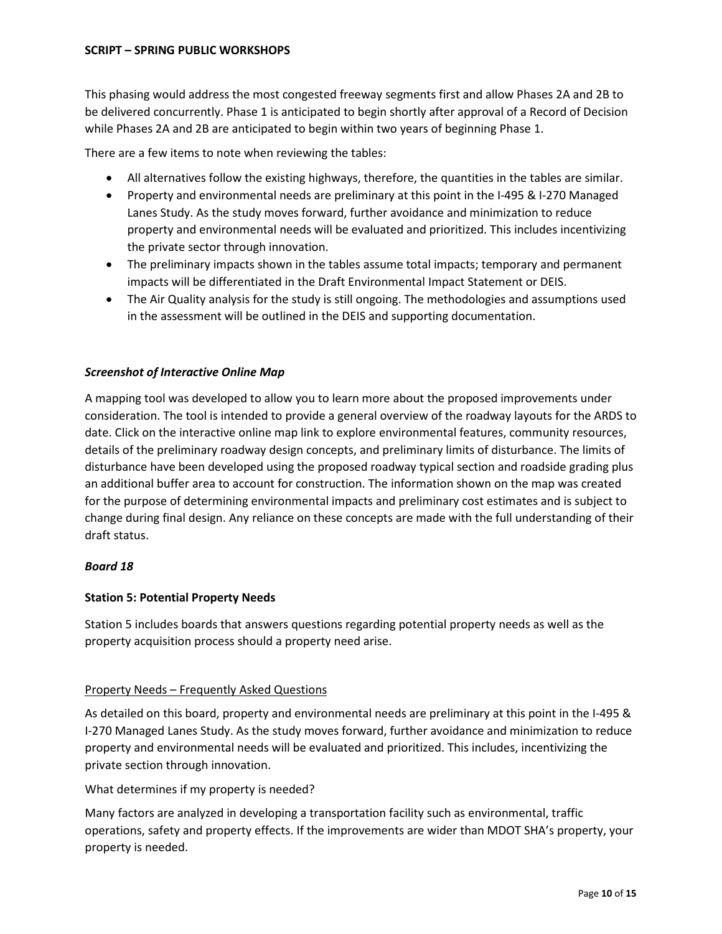This phasing would address the most congested freeway segments first and allow Phases 2A and 2B to be delivered concurrently. Phase 1 is anticipated to begin shortly after approval of a Record of Decision while Phases 2A and 2B are anticipated to begin within two years of beginning Phase 1.

There are a few items to note when reviewing the tables:

- All alternatives follow the existing highways, therefore, the quantities in the tables are similar.
- Property and environmental needs are preliminary at this point in the I-495 & I-270 Managed Lanes Study. As the study moves forward, further avoidance and minimization to reduce property and environmental needs will be evaluated and prioritized. This includes incentivizing the private sector through innovation.
- The preliminary impacts shown in the tables assume total impacts; temporary and permanent impacts will be differentiated in the Draft Environmental Impact Statement or DEIS.
- The Air Quality analysis for the study is still ongoing. The methodologies and assumptions used in the assessment will be outlined in the DEIS and supporting documentation.

# *Screenshot of Interactive Online Map*

A mapping tool was developed to allow you to learn more about the proposed improvements under consideration. The tool is intended to provide a general overview of the roadway layouts for the ARDS to date. Click on the interactive online map link to explore environmental features, community resources, details of the preliminary roadway design concepts, and preliminary limits of disturbance. The limits of disturbance have been developed using the proposed roadway typical section and roadside grading plus an additional buffer area to account for construction. The information shown on the map was created for the purpose of determining environmental impacts and preliminary cost estimates and is subject to change during final design. Any reliance on these concepts are made with the full understanding of their draft status.

# *Board 18*

# **Station 5: Potential Property Needs**

Station 5 includes boards that answers questions regarding potential property needs as well as the property acquisition process should a property need arise.

# Property Needs – Frequently Asked Questions

As detailed on this board, property and environmental needs are preliminary at this point in the I-495 & I-270 Managed Lanes Study. As the study moves forward, further avoidance and minimization to reduce property and environmental needs will be evaluated and prioritized. This includes, incentivizing the private section through innovation.

What determines if my property is needed?

Many factors are analyzed in developing a transportation facility such as environmental, traffic operations, safety and property effects. If the improvements are wider than MDOT SHA's property, your property is needed.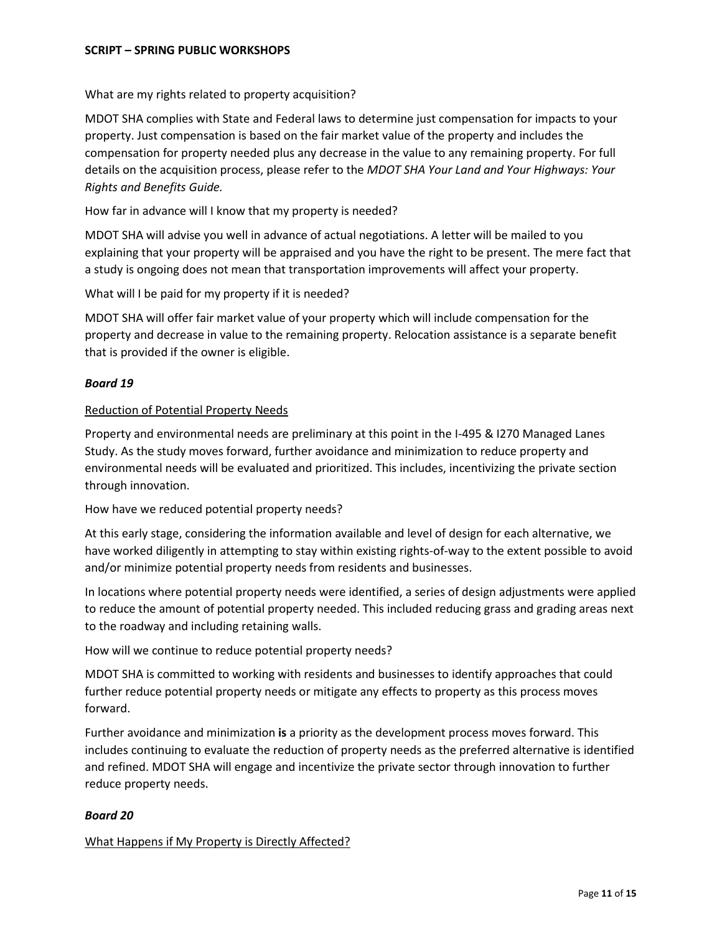What are my rights related to property acquisition?

MDOT SHA complies with State and Federal laws to determine just compensation for impacts to your property. Just compensation is based on the fair market value of the property and includes the compensation for property needed plus any decrease in the value to any remaining property. For full details on the acquisition process, please refer to the *MDOT SHA Your Land and Your Highways: Your Rights and Benefits Guide.*

How far in advance will I know that my property is needed?

MDOT SHA will advise you well in advance of actual negotiations. A letter will be mailed to you explaining that your property will be appraised and you have the right to be present. The mere fact that a study is ongoing does not mean that transportation improvements will affect your property.

What will I be paid for my property if it is needed?

MDOT SHA will offer fair market value of your property which will include compensation for the property and decrease in value to the remaining property. Relocation assistance is a separate benefit that is provided if the owner is eligible.

## *Board 19*

## Reduction of Potential Property Needs

Property and environmental needs are preliminary at this point in the I-495 & I270 Managed Lanes Study. As the study moves forward, further avoidance and minimization to reduce property and environmental needs will be evaluated and prioritized. This includes, incentivizing the private section through innovation.

## How have we reduced potential property needs?

At this early stage, considering the information available and level of design for each alternative, we have worked diligently in attempting to stay within existing rights-of-way to the extent possible to avoid and/or minimize potential property needs from residents and businesses.

In locations where potential property needs were identified, a series of design adjustments were applied to reduce the amount of potential property needed. This included reducing grass and grading areas next to the roadway and including retaining walls.

How will we continue to reduce potential property needs?

MDOT SHA is committed to working with residents and businesses to identify approaches that could further reduce potential property needs or mitigate any effects to property as this process moves forward.

Further avoidance and minimization **is** a priority as the development process moves forward. This includes continuing to evaluate the reduction of property needs as the preferred alternative is identified and refined. MDOT SHA will engage and incentivize the private sector through innovation to further reduce property needs.

## *Board 20*

## What Happens if My Property is Directly Affected?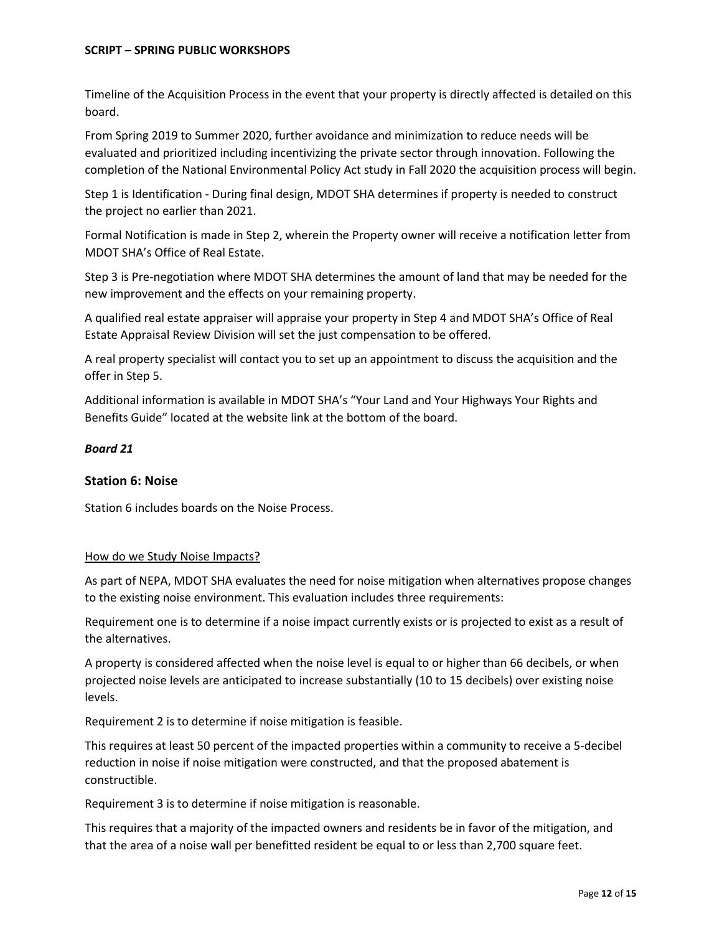Timeline of the Acquisition Process in the event that your property is directly affected is detailed on this board.

From Spring 2019 to Summer 2020, further avoidance and minimization to reduce needs will be evaluated and prioritized including incentivizing the private sector through innovation. Following the completion of the National Environmental Policy Act study in Fall 2020 the acquisition process will begin.

Step 1 is Identification - During final design, MDOT SHA determines if property is needed to construct the project no earlier than 2021.

Formal Notification is made in Step 2, wherein the Property owner will receive a notification letter from MDOT SHA's Office of Real Estate.

Step 3 is Pre-negotiation where MDOT SHA determines the amount of land that may be needed for the new improvement and the effects on your remaining property.

A qualified real estate appraiser will appraise your property in Step 4 and MDOT SHA's Office of Real Estate Appraisal Review Division will set the just compensation to be offered.

A real property specialist will contact you to set up an appointment to discuss the acquisition and the offer in Step 5.

Additional information is available in MDOT SHA's "Your Land and Your Highways Your Rights and Benefits Guide" located at the website link at the bottom of the board.

## *Board 21*

## **Station 6: Noise**

Station 6 includes boards on the Noise Process.

## How do we Study Noise Impacts?

As part of NEPA, MDOT SHA evaluates the need for noise mitigation when alternatives propose changes to the existing noise environment. This evaluation includes three requirements:

Requirement one is to determine if a noise impact currently exists or is projected to exist as a result of the alternatives.

A property is considered affected when the noise level is equal to or higher than 66 decibels, or when projected noise levels are anticipated to increase substantially (10 to 15 decibels) over existing noise levels.

Requirement 2 is to determine if noise mitigation is feasible.

This requires at least 50 percent of the impacted properties within a community to receive a 5-decibel reduction in noise if noise mitigation were constructed, and that the proposed abatement is constructible.

Requirement 3 is to determine if noise mitigation is reasonable.

This requires that a majority of the impacted owners and residents be in favor of the mitigation, and that the area of a noise wall per benefitted resident be equal to or less than 2,700 square feet.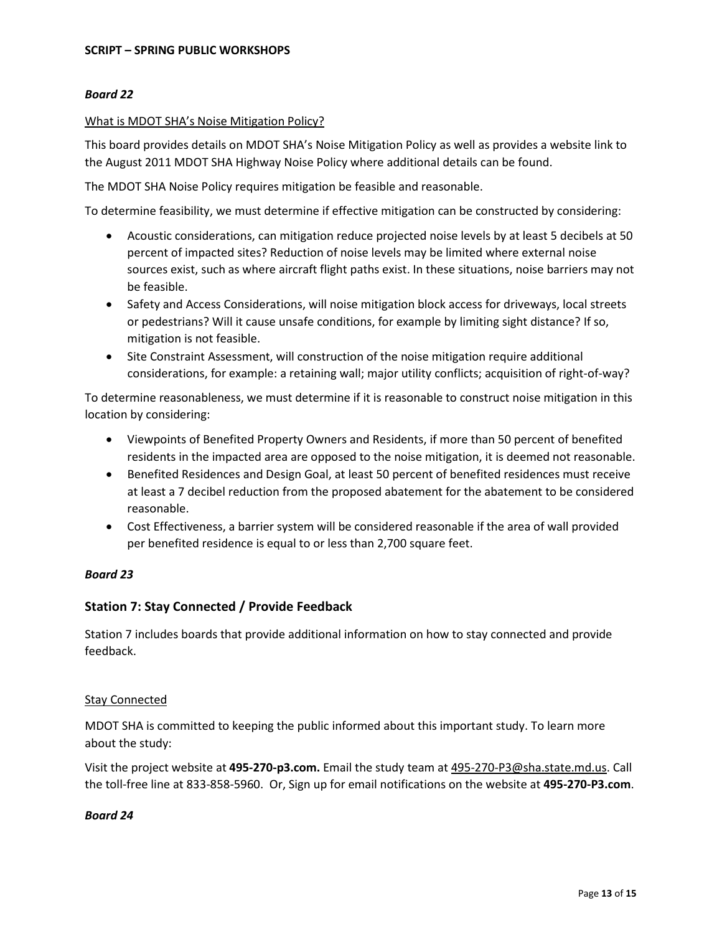## *Board 22*

## What is MDOT SHA's Noise Mitigation Policy?

This board provides details on MDOT SHA's Noise Mitigation Policy as well as provides a website link to the August 2011 MDOT SHA Highway Noise Policy where additional details can be found.

The MDOT SHA Noise Policy requires mitigation be feasible and reasonable.

To determine feasibility, we must determine if effective mitigation can be constructed by considering:

- Acoustic considerations, can mitigation reduce projected noise levels by at least 5 decibels at 50 percent of impacted sites? Reduction of noise levels may be limited where external noise sources exist, such as where aircraft flight paths exist. In these situations, noise barriers may not be feasible.
- Safety and Access Considerations, will noise mitigation block access for driveways, local streets or pedestrians? Will it cause unsafe conditions, for example by limiting sight distance? If so, mitigation is not feasible.
- Site Constraint Assessment, will construction of the noise mitigation require additional considerations, for example: a retaining wall; major utility conflicts; acquisition of right-of-way?

To determine reasonableness, we must determine if it is reasonable to construct noise mitigation in this location by considering:

- Viewpoints of Benefited Property Owners and Residents, if more than 50 percent of benefited residents in the impacted area are opposed to the noise mitigation, it is deemed not reasonable.
- Benefited Residences and Design Goal, at least 50 percent of benefited residences must receive at least a 7 decibel reduction from the proposed abatement for the abatement to be considered reasonable.
- Cost Effectiveness, a barrier system will be considered reasonable if the area of wall provided per benefited residence is equal to or less than 2,700 square feet.

## *Board 23*

# **Station 7: Stay Connected / Provide Feedback**

Station 7 includes boards that provide additional information on how to stay connected and provide feedback.

## Stay Connected

MDOT SHA is committed to keeping the public informed about this important study. To learn more about the study:

Visit the project website at **495-270-p3.com.** Email the study team at [495-270-P3@sha.state.md.us.](mailto:495-270-P3@sha.state.md.us) Call the toll-free line at 833-858-5960. Or, Sign up for email notifications on the website at **495-270-P3.com**.

## *Board 24*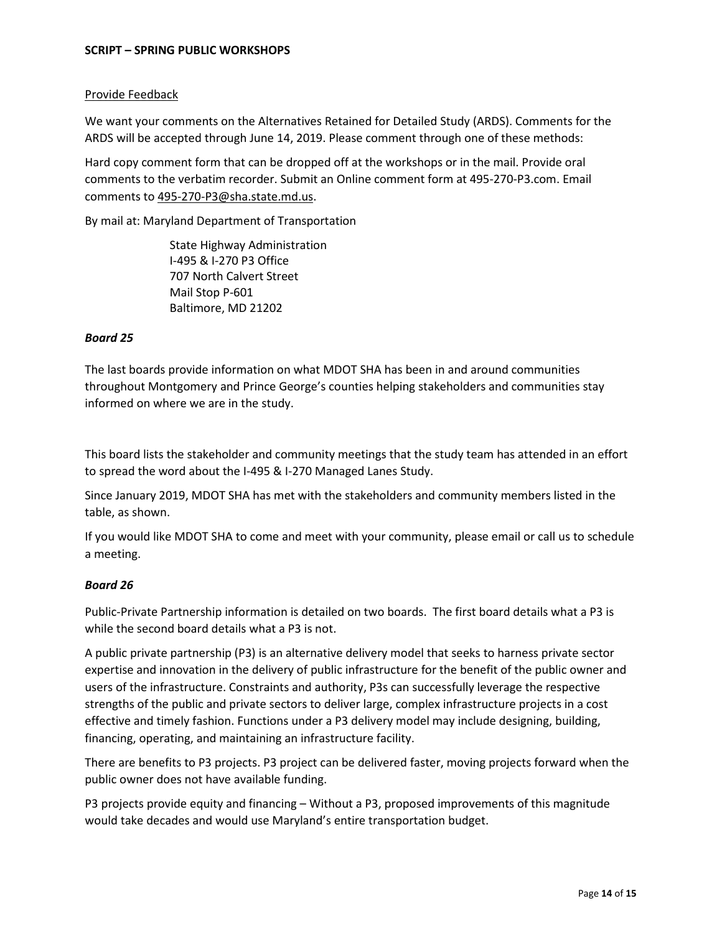## Provide Feedback

We want your comments on the Alternatives Retained for Detailed Study (ARDS). Comments for the ARDS will be accepted through June 14, 2019. Please comment through one of these methods:

Hard copy comment form that can be dropped off at the workshops or in the mail. Provide oral comments to the verbatim recorder. Submit an Online comment form at 495-270-P3.com. Email comments to [495-270-P3@sha.state.md.us.](mailto:495-270-P3@sha.state.md.us)

By mail at: Maryland Department of Transportation

 State Highway Administration I-495 & I-270 P3 Office 707 North Calvert Street Mail Stop P-601 Baltimore, MD 21202

## *Board 25*

The last boards provide information on what MDOT SHA has been in and around communities throughout Montgomery and Prince George's counties helping stakeholders and communities stay informed on where we are in the study.

This board lists the stakeholder and community meetings that the study team has attended in an effort to spread the word about the I-495 & I-270 Managed Lanes Study.

Since January 2019, MDOT SHA has met with the stakeholders and community members listed in the table, as shown.

If you would like MDOT SHA to come and meet with your community, please email or call us to schedule a meeting.

# *Board 26*

Public-Private Partnership information is detailed on two boards. The first board details what a P3 is while the second board details what a P3 is not.

A public private partnership (P3) is an alternative delivery model that seeks to harness private sector expertise and innovation in the delivery of public infrastructure for the benefit of the public owner and users of the infrastructure. Constraints and authority, P3s can successfully leverage the respective strengths of the public and private sectors to deliver large, complex infrastructure projects in a cost effective and timely fashion. Functions under a P3 delivery model may include designing, building, financing, operating, and maintaining an infrastructure facility.

There are benefits to P3 projects. P3 project can be delivered faster, moving projects forward when the public owner does not have available funding.

P3 projects provide equity and financing – Without a P3, proposed improvements of this magnitude would take decades and would use Maryland's entire transportation budget.